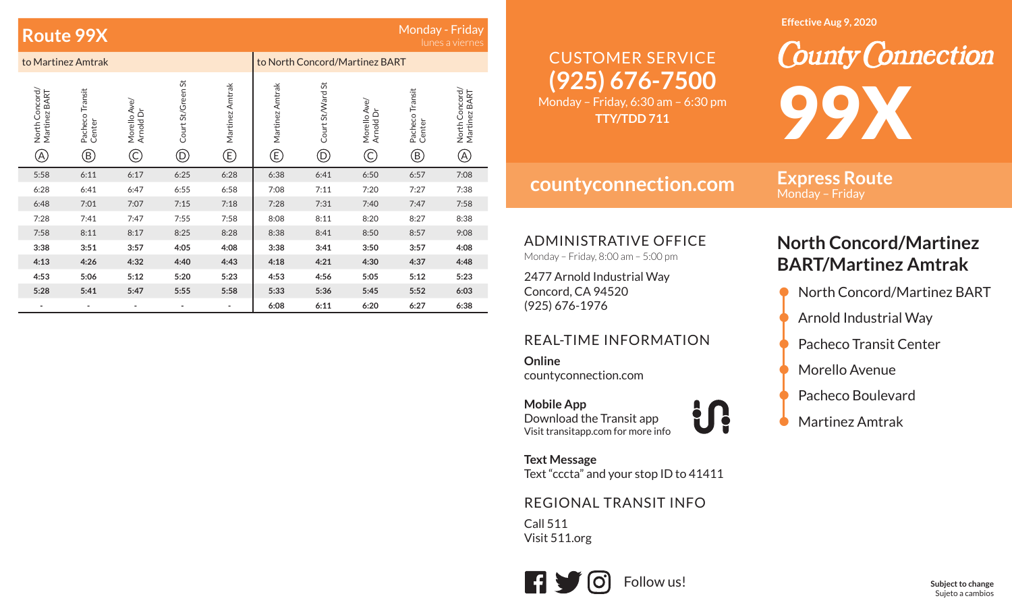| Monday - Friday<br>Route 99X<br>lunes a viernes |                                           |                               |                                                 |                          |                                |                                   |                                  |                                           |                                                |
|-------------------------------------------------|-------------------------------------------|-------------------------------|-------------------------------------------------|--------------------------|--------------------------------|-----------------------------------|----------------------------------|-------------------------------------------|------------------------------------------------|
|                                                 | to Martinez Amtrak                        |                               |                                                 |                          | to North Concord/Martinez BART |                                   |                                  |                                           |                                                |
| North Concord/<br>Martinez BART<br>A)           | Pacheco Transit<br>Center<br>$^\circledR$ | Morello Ave<br>Arnold Dr<br>C | Court St/Green St<br>$^{\small\textregistered}$ | Martinez Amtrak<br>©     | Martinez Amtrak<br>©           | Court St/Ward St<br>$^\copyright$ | Morello Ave/<br>Arnold Dr<br>(C) | Pacheco Transit<br>Center<br>$^\circledR$ | North Concord/<br>Martinez BART<br>$\circledA$ |
| 5:58                                            | 6:11                                      | 6:17                          | 6:25                                            | 6:28                     | 6:38                           | 6:41                              | 6:50                             | 6:57                                      | 7:08                                           |
| 6:28                                            | 6:41                                      | 6:47                          | 6:55                                            | 6:58                     | 7:08                           | 7:11                              | 7:20                             | 7:27                                      | 7:38                                           |
| 6:48                                            | 7:01                                      | 7:07                          | 7:15                                            | 7:18                     | 7:28                           | 7:31                              | 7:40                             | 7:47                                      | 7:58                                           |
| 7:28                                            | 7:41                                      | 7:47                          | 7:55                                            | 7:58                     | 8:08                           | 8:11                              | 8:20                             | 8:27                                      | 8:38                                           |
| 7:58                                            | 8:11                                      | 8:17                          | 8:25                                            | 8:28                     | 8:38                           | 8:41                              | 8:50                             | 8:57                                      | 9:08                                           |
| 3:38                                            | 3:51                                      | 3:57                          | 4:05                                            | 4:08                     | 3:38                           | 3:41                              | 3:50                             | 3:57                                      | 4:08                                           |
| 4:13                                            | 4:26                                      | 4:32                          | 4:40                                            | 4:43                     | 4:18                           | 4:21                              | 4:30                             | 4:37                                      | 4:48                                           |
| 4:53                                            | 5:06                                      | 5:12                          | 5:20                                            | 5:23                     | 4:53                           | 4:56                              | 5:05                             | 5:12                                      | 5:23                                           |
| 5:28                                            | 5:41                                      | 5:47                          | 5:55                                            | 5:58                     | 5:33                           | 5:36                              | 5:45                             | 5:52                                      | 6:03                                           |
|                                                 | $\overline{\phantom{0}}$                  |                               |                                                 | $\overline{\phantom{0}}$ | 6:08                           | 6:11                              | 6:20                             | 6:27                                      | 6:38                                           |

#### **Effective Aug 9, 2020**

# **(925) 676-7500** CUSTOMER SERVICE

Monday – Friday, 6:30 am – 6:30 pm **TTY/TDD 711**

**countyconnection.com**

**Express Route** Monday – Friday

99X

ADMINISTRATIVE OFFICE

Monday – Friday, 8:00 am – 5:00 pm

2477 Arnold Industrial Way Concord, CA 94520 (925) 676-1976

### REAL-TIME INFORMATION

**Online**countyconnection.com

**Mobile App** Download the Transit app Visit transitapp.com for more info

**Text Message** Text "cccta" and your stop ID to 41411

### REGIONAL TRANSIT INFO

Call 511Visit 511.org



## **North Concord/Martinez BART/Martinez Amtrak**

**County Connection** 

- North Concord/Martinez BART
- Arnold Industrial Way
- Pacheco Transit Center
- Morello Avenue
- Pacheco Boulevard
- Martinez Amtrak